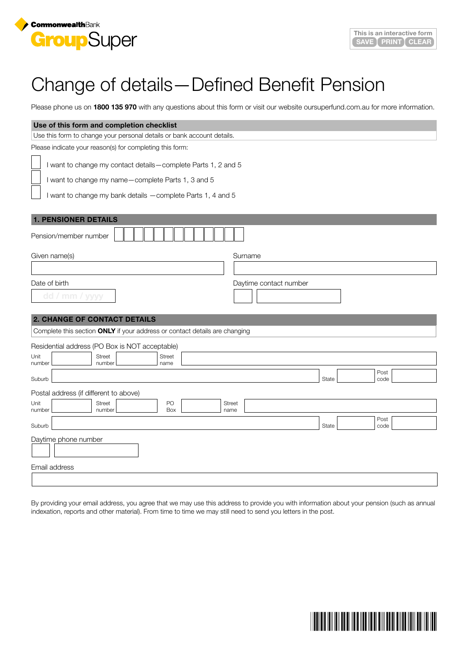

## Change of details—Defined Benefit Pension

Please phone us on **1800 135 970** with any questions about this form or visit our website oursuperfund.com.au for more information.

| Use of this form and completion checklist                                                                                                                                           |                        |       |              |  |
|-------------------------------------------------------------------------------------------------------------------------------------------------------------------------------------|------------------------|-------|--------------|--|
| Use this form to change your personal details or bank account details.                                                                                                              |                        |       |              |  |
| Please indicate your reason(s) for completing this form:                                                                                                                            |                        |       |              |  |
| I want to change my contact details-complete Parts 1, 2 and 5<br>I want to change my name-complete Parts 1, 3 and 5<br>I want to change my bank details - complete Parts 1, 4 and 5 |                        |       |              |  |
| <b>1. PENSIONER DETAILS</b>                                                                                                                                                         |                        |       |              |  |
| Pension/member number                                                                                                                                                               |                        |       |              |  |
| Given name(s)                                                                                                                                                                       | Surname                |       |              |  |
|                                                                                                                                                                                     |                        |       |              |  |
| Date of birth                                                                                                                                                                       | Daytime contact number |       |              |  |
| dd / mm / yyyy                                                                                                                                                                      |                        |       |              |  |
|                                                                                                                                                                                     |                        |       |              |  |
| <b>2. CHANGE OF CONTACT DETAILS</b>                                                                                                                                                 |                        |       |              |  |
| Complete this section ONLY if your address or contact details are changing                                                                                                          |                        |       |              |  |
| Residential address (PO Box is NOT acceptable)                                                                                                                                      |                        |       |              |  |
| <b>Street</b><br><b>Street</b><br>Unit<br>number                                                                                                                                    |                        |       |              |  |
| number<br>name                                                                                                                                                                      |                        |       | Post         |  |
| Suburb                                                                                                                                                                              |                        | State | code         |  |
| Postal address (if different to above)                                                                                                                                              |                        |       |              |  |
| PO<br><b>Street</b><br>Unit<br>number<br>Box<br>number                                                                                                                              | Street<br>name         |       |              |  |
| Suburb                                                                                                                                                                              |                        | State | Post<br>code |  |
| Daytime phone number                                                                                                                                                                |                        |       |              |  |
|                                                                                                                                                                                     |                        |       |              |  |
| Email address                                                                                                                                                                       |                        |       |              |  |
|                                                                                                                                                                                     |                        |       |              |  |

By providing your email address, you agree that we may use this address to provide you with information about your pension (such as annual indexation, reports and other material). From time to time we may still need to send you letters in the post.